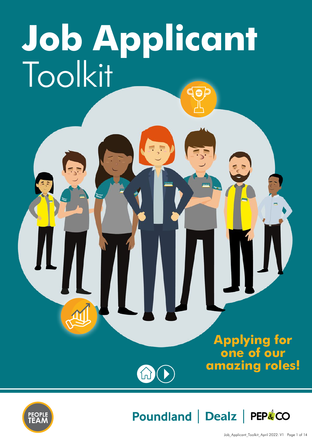# **Job Applicant** Toolkit

M

### **Applying for one of our amazing roles!**





Poundland | Dealz | PEP&CO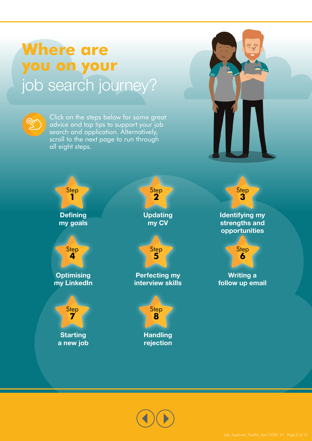# **Where are you on your** job search journey?



Click on the steps below for some great advice and top tips to support your job search and application. Alternatively, scroll to the next page to run through all eight steps.





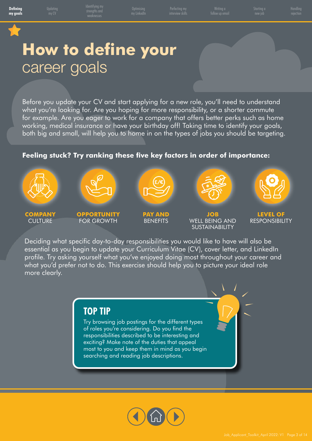Perfecting my

follow up email

Handling

# <span id="page-2-0"></span>**How to define your** career goals

Before you update your CV and start applying for a new role, you'll need to understand what you're looking for. Are you hoping for more responsibility, or a shorter commute for example. Are you eager to work for a company that offers better perks such as home working, medical insurance or have your birthday off! Taking time to identify your goals, both big and small, will help you to home in on the types of jobs you should be targeting.

### **Feeling stuck? Try ranking these five key factors in order of importance:**



Deciding what specific day-to-day responsibilities you would like to have will also be essential as you begin to update your Curriculum Vitae (CV), cover letter, and LinkedIn profile. Try asking yourself what you've enjoyed doing most throughout your career and what you'd prefer not to do. This exercise should help you to picture your ideal role more clearly.

### **TOP TIP**

Try browsing job postings for the different types of roles you're considering. Do you find the responsibilities described to be interesting and exciting? Make note of the duties that appeal most to you and keep them in mind as you begin searching and reading job descriptions.

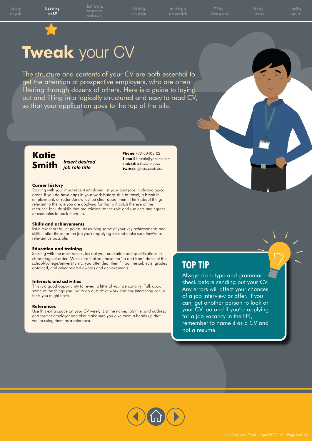Perfecting my

follow up email

Handling

# <span id="page-3-0"></span>**Tweak** your CV

The structure and contents of your CV are both essential to get the attention of prospective employers, who are often filtering through dozens of others. Here is a guide to laying out and filling in a logically structured and easy to read CV, so that your application goes to the top of the pile.

### **Katie Smith** *Insert desired*

*job role title*

**Phone** 773-00405-02 **E-mail** k.smith@yahoop.com **Linkedin** linkedin.com **Twitter** @katiesmith.utw

#### **Career history**

Starting with your most recent employer, list your past jobs in chronological order. If you do have gaps in your work history, due to travel, a break in employment, or redundancy, just be clear about them. Think about things relevant to the role you are applying for that will catch the eye of the recruiter. Include skills that are relevant to the role and use acts and figures or examples to back them up.

#### **Skills and achievements**

list a few short bullet points, describing some of your key achievements and skills. Tailor these for the job you're applying for and make sure they're as relevant as possible.

#### **Education and training**

Starting with the most recent, lay out your education and qualifications in chronological order. Make sure that you have the 'to and from' dates of the school/college/university etc. you attended, then fill out the subjects, grades obtained, and other related awards and achievements.

#### **Interests and activities**

This is a good opportunity to reveal a little of your personality. Talk about some of the things you like to do outside of work and any interesting or fun facts you might have.

#### **References**

Use this extra space on your CV wisely. List the name, job title, and address of a former employer and also make sure you give them a heads up that you're using them as a reference.

### **TOP TIP**

Always do a typo and grammar check before sending out your CV. Any errors will affect your chances of a job interview or offer. If you can, get another person to look at your CV too and if you're applying for a job vacancy in the UK, remember to name it as a CV and not a resume.

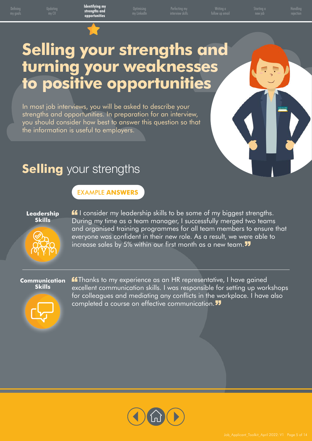Perfecting my

follow up email

Handling

# <span id="page-4-0"></span>**Selling your strengths and turning your weaknesses to positive opportunities**

In most job interviews, you will be asked to describe your strengths and opportunities. In preparation for an interview, you should consider how best to answer this question so that the information is useful to employers.

# **Selling** your strengths

### EXAMPLE **ANSWERS**

#### **Leadership Skills**

**If** I consider my leadership skills to be some of my biggest strengths. During my time as a team manager, I successfully merged two teams and organised training programmes for all team members to ensure that everyone was confident in their new role. As a result, we were able to increase sales by 5% within our first month as a new team.

#### **Communication Skills**



**ff** Thanks to my experience as an HR representative, I have gained excellent communication skills. I was responsible for setting up workshops for colleagues and mediating any conflicts in the workplace. I have also completed a course on effective communication.

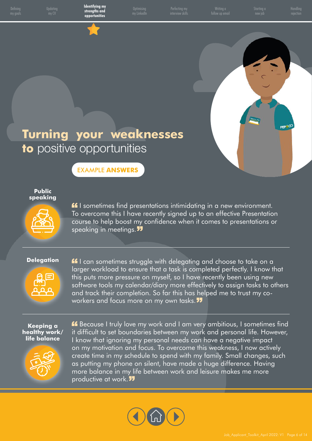Defining

Updating

**Optimising** 

Perfecting my

follow up email

Handling

PEPACO

# **Turning your weaknesses to** positive opportunities

EXAMPLE **ANSWERS**

#### **Public speaking**



**If** I sometimes find presentations intimidating in a new environment. To overcome this I have recently signed up to an effective Presentation course to help boost my confidence when it comes to presentations or speaking in meetings.

#### **Delegation**



**If** I can sometimes struggle with delegating and choose to take on a larger workload to ensure that a task is completed perfectly. I know that this puts more pressure on myself, so I have recently been using new software tools my calendar/diary more effectively to assign tasks to others and track their completion. So far this has helped me to trust my coworkers and focus more on my own tasks.

#### **Keeping a healthy work/ life balance**



Because I truly love my work and I am very ambitious, I sometimes find it difficult to set boundaries between my work and personal life. However, I know that ignoring my personal needs can have a negative impact on my motivation and focus. To overcome this weakness, I now actively create time in my schedule to spend with my family. Small changes, such as putting my phone on silent, have made a huge difference. Having more balance in my life between work and leisure makes me more productive at work.

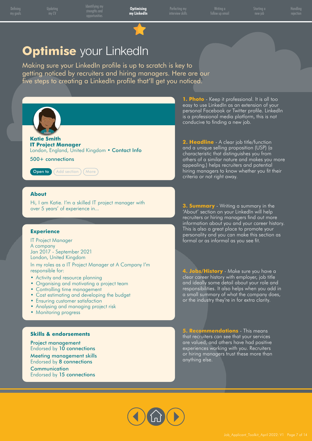<span id="page-6-0"></span>Updating

**Optimising my LinkedIn** Perfecting my

follow up email

Handling

# **Optimise** your LinkedIn

Making sure your LinkedIn profile is up to scratch is key to getting noticed by recruiters and hiring managers. Here are our five steps to creating a LinkedIn profile that'll get you noticed.



**Katie Smith IT Project Manager** London, England, United Kingdom • Contact Info

500+ connections



#### **About**

Hi, I am Katie. I'm a skilled IT project manager with over 5 years' of experience in...

#### **Experience**

IT Project Manager A company Jan 2017 - September 2021 London, United Kingdom

In my roles as a IT Project Manager at A Company I'm responsible for:

- Activity and resource planning
- Organising and motivating a project team
- Controlling time management
- Cost estimating and developing the budget
- Ensuring customer satisfaction
- Analysing and managing project risk
- Monitoring progress

#### **Skills & endorsements**

Project management Endorsed by 10 connections Meeting management skills Endorsed by 8 connections

**Communication** Endorsed by 15 connections

**1. Photo** - Keep it professional. It is all too easy to use LinkedIn as an extension of your personal Facebook or Twitter profile. LinkedIn is a professional media platform, this is not conducive to finding a new job.

**2. Headline** - A clear job title/function and a unique selling proposition (USP) (a characteristic that distinguishes you from others of a similar nature and makes you more appealing.) helps recruiters and potential hiring managers to know whether you fit their criteria or not right away.

**3. Summary** - Writing a summary in the 'About' section on your LinkedIn will help recruiters or hiring managers find out more information about you and your career history. This is also a great place to promote your personality and you can make this section as formal or as informal as you see fit.

**4. Jobs/History** - Make sure you have a clear career history with employer, job title and ideally some detail about your role and responsibilities. It also helps when you add in a small summary of what the company does, or the industry they're in for extra clarity.

**5. Recommendations** - This means that recruiters can see that your services are valued, and others have had positive experiences working with you. Recruiters or hiring managers trust these more than anything else.

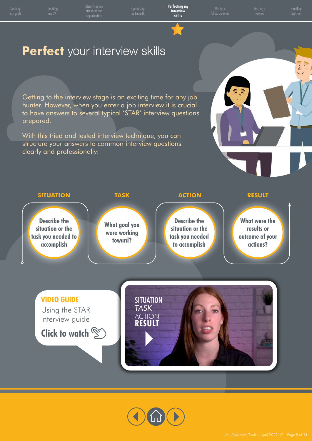<span id="page-7-0"></span>

Updating

**Optimising** 

**Perfecting my interview skills**

follow up email

Handling

### **Perfect** your interview skills

Getting to the interview stage is an exciting time for any job hunter. However, when you enter a job interview it is crucial to have answers to several typical 'STAR' interview questions prepared.

With this tried and tested interview technique, you can structure your answers to common interview questions clearly and professionally:



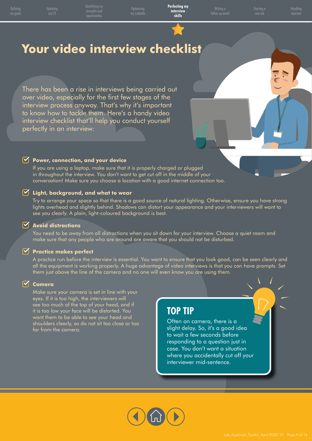rengins (<br>. . . . . . . .

Updating

**Optimising** 

**Perfecting my interview skills**

follow up email

Handling

# **Your video interview checklist**

There has been a rise in interviews being carried out over video, especially for the first few stages of the interview process anyway. That's why it's important to know how to tackle them. Here's a handy video interview checklist that'll help you conduct yourself perfectly in an interview:

#### **Y** Power, connection, and your device

 If you are using a laptop, make sure that it is properly charged or plugged in throughout the interview. You don't want to get cut off in the middle of your conversation! Make sure you choose a location with a good internet connection too.

#### **Light, background, and what to wear**

 Try to arrange your space so that there is a good source of natural lighting. Otherwise, ensure you have strong lights overhead and slightly behind. Shadows can distort your appearance and your interviewers will want to see you clearly. A plain, light-coloured background is best.

#### **Avoid distractions**

 You need to be away from all distractions when you sit down for your interview. Choose a quiet room and make sure that any people who are around are aware that you should not be disturbed.

#### **Practice makes perfect**

 A practice run before the interview is essential. You want to ensure that you look good, can be seen clearly and all the equipment is working properly. A huge advantage of video interviews is that you can have prompts. Set them just above the line of the camera and no one will even know you are using them.

#### **Camera**

 Make sure your camera is set in line with your eyes. If it is too high, the interviewers will see too much of the top of your head, and if it is too low your face will be distorted. You want them to be able to see your head and shoulders clearly, so do not sit too close or too far from the camera.

### **TOP TIP**

Often on camera, there is a slight delay. So, it's a good idea to wait a few seconds before responding to a question just in case. You don't want a situation where you accidentally cut off your interviewer mid-sentence.

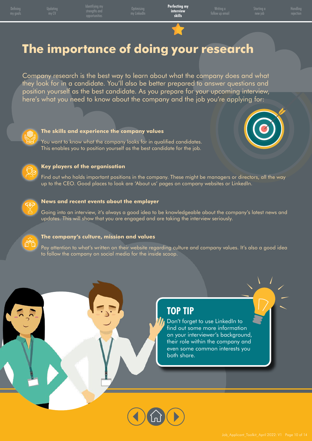# **The importance of doing your research**

Company research is the best way to learn about what the company does and what they look for in a candidate. You'll also be better prepared to answer questions and position yourself as the best candidate. As you prepare for your upcoming interview, here's what you need to know about the company and the job you're applying for:



#### **The skills and experience the company values**

 You want to know what the company looks for in qualified candidates. This enables you to position yourself as the best candidate for the job.





#### **Key players of the organisation**

 Find out who holds important positions in the company. These might be managers or directors, all the way up to the CEO. Good places to look are 'About us' pages on company websites or LinkedIn.



#### **News and recent events about the employer**

 Going into an interview, it's always a good idea to be knowledgeable about the company's latest news and updates. This will show that you are engaged and are taking the interview seriously.



#### **The company's culture, mission and values**

 Pay attention to what's written on their website regarding culture and company values. It's also a good idea to follow the company on social media for the inside scoop.

### **TOP TIP**

Don't forget to use LinkedIn to find out some more information on your interviewer's background, their role within the company and even some common interests you both share.

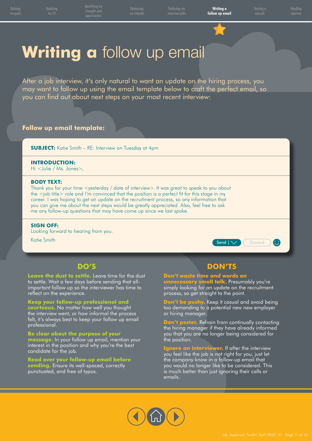<span id="page-10-0"></span>Updating

**Optimising** 

Perfecting my

**Writing a follow up email** Handling

# **Writing a** follow up email

After a job interview, it's only natural to want an update on the hiring process, you may want to follow up using the email template below to craft the perfect email, so you can find out about next steps on your most recent interview:

#### **Follow up email template:**

**SUBJECT:** Katie Smith – RE: Interview on Tuesday at 4pm

#### **INTRODUCTION:**

Hi <Julie / Ms. Jones>,

#### **BODY TEXT:**

Thank you for your time <yesterday / date of interview>. It was great to speak to you about the <job title> role and I'm convinced that the position is a perfect fit for this stage in my career. I was hoping to get an update on the recruitment process, so any information that you can give me about the next steps would be greatly appreciated. Also, feel free to ask me any follow-up questions that may have come up since we last spoke.

#### **SIGN OFF:**

Looking forward to hearing from you.

Katie Smith



### **DO'S**

**Leave the dust to settle.** Leave time for the dust to settle. Wait a few days before sending that allimportant follow up so the interviewer has time to reflect on the experience.

**Keep your follow-up professional and courteous.** No matter how well you thought the interview went, or how informal the process felt, it's always best to keep your follow up email professional.

**Be clear about the purpose of your** 

**message.** In your follow up email, mention your interest in the position and why you're the best candidate for the job.

**Read over your follow-up email before sending.** Ensure its well-spaced, correctly punctuated, and free of typos.

### **DON'TS**

**Don't waste time and words on unnecessary small talk.** Presumably you're simply looking for an update on the recruitment process, so get straight to the point.

**Don't be pushy.** Keep it casual and avoid being too demanding to a potential new new employer or hiring manager.

n't pester. Refrain from continually contacting the hiring manager if they have already informed you that you are no longer being considered for the position.

**In interviewer.** If after the interview you feel like the job is not right for you, just let the company know in a follow-up email that you would no longer like to be considered. This is much better than just ignoring their calls or emails.

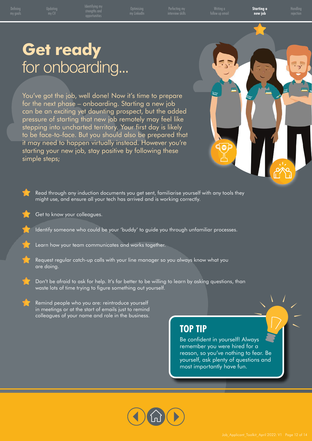Perfecting my

follow up email

**Starting a new job**

Handling

# <span id="page-11-0"></span>**Get ready** for onboarding...

You've got the job, well done! Now it's time to prepare for the next phase – onboarding. Starting a new job can be an exciting yet daunting prospect, but the added pressure of starting that new job remotely may feel like stepping into uncharted territory. Your first day is likely to be face-to-face. But you should also be prepared that it may need to happen virtually instead. However you're starting your new job, stay positive by following these simple steps;



- Read through any induction documents you get sent, familiarise yourself with any tools they might use, and ensure all your tech has arrived and is working correctly.
	- Get to know your colleagues.
- Identify someone who could be your 'buddy' to guide you through unfamiliar processes.
- Learn how your team communicates and works together.
- Request regular catch-up calls with your line manager so you always know what you are doing.
- Don't be afraid to ask for help. It's far better to be willing to learn by asking questions, than waste lots of time trying to figure something out yourself.
	- Remind people who you are: reintroduce yourself in meetings or at the start of emails just to remind colleagues of your name and role in the business.

### **TOP TIP**

Be confident in yourself! Always remember you were hired for a reason, so you've nothing to fear. Be yourself, ask plenty of questions and most importantly have fun.